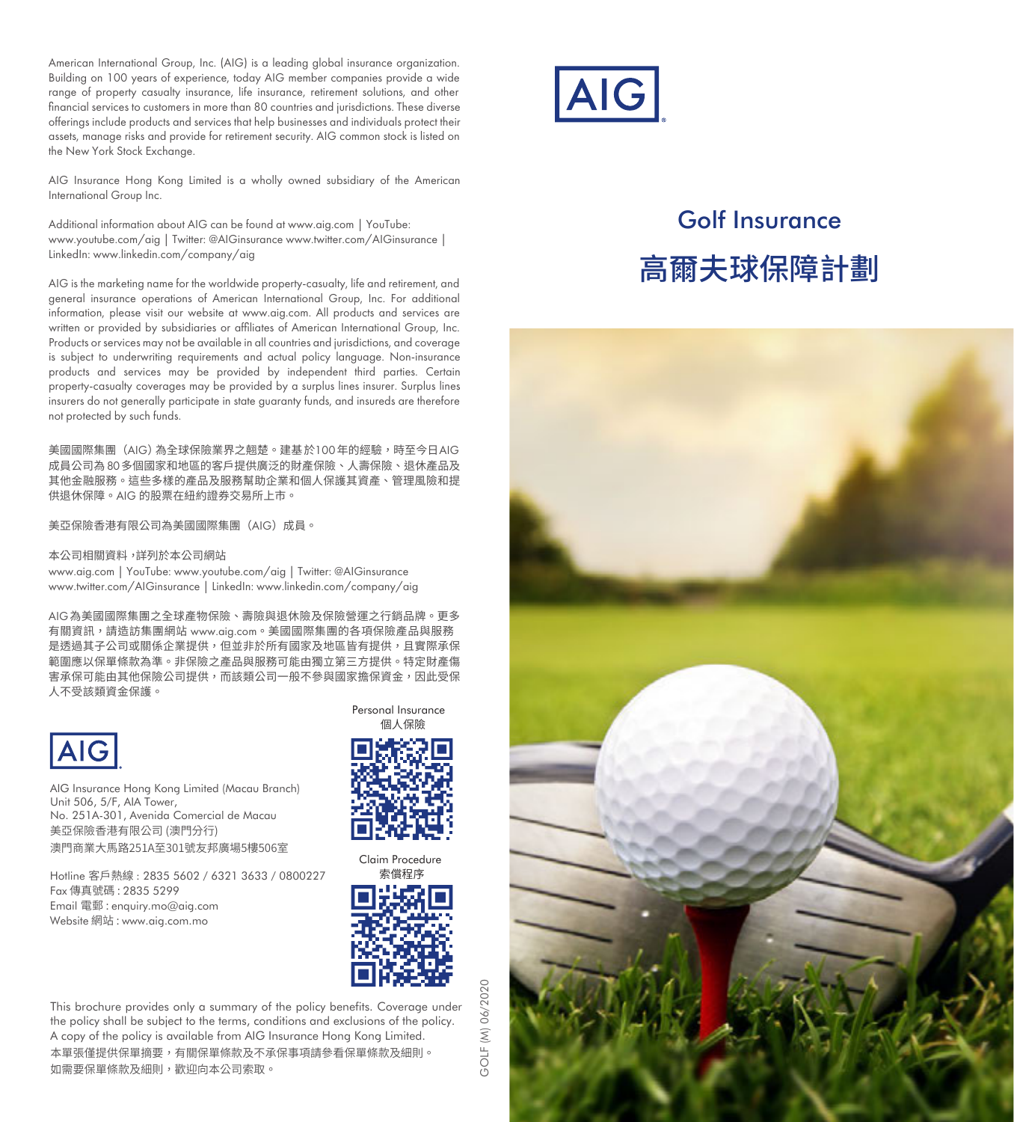American International Group, Inc. (AIG) is a leading alobal insurance organization. Building on 100 years of experience, today AIG member companies provide a wide range of property casualty insurance, life insurance, retirement solutions, and other financial services to customers in more than 80 countries and jurisdictions. These diverse offerings include products and services that help businesses and individuals protect their assets, manage risks and provide for retirement security. AIG common stock is listed on the New York Stock Exchange.

AIG Insurance Hong Kong Limited is a wholly owned subsidiary of the American International Group Inc.

Additional information about AIG can be found at www.aig.com | YouTube: www.youtube.com/aig | Twitter: @AIGinsurance www.twitter.com/AIGinsurance | LinkedIn: www.linkedin.com/company/aig

AIG is the marketing name for the worldwide property-casualty, life and retirement, and general insurance operations of American International Group, Inc. For additional information, please visit our website at www.aig.com. All products and services are written or provided by subsidiaries or affiliates of American International Group, Inc. Products or services may not be available in all countries and jurisdictions, and coverage is subject to underwriting requirements and actual policy language. Non-insurance products and services may be provided by independent third parties. Certain property-casualty coverages may be provided by a surplus lines insurer. Surplus lines insurers do not generally participate in state guaranty funds, and insureds are therefore not protected by such funds.

美國國際集團(AIG)為全球保險業界之翹楚。建基 於100 年的經驗,時至今日AIG 成員公司為80多個國家和地區的客戶提供廣泛的財產保險、人壽保險、退休產品及 其他金融服務。這些多樣的產品及服務幫助企業和個人保護其資產、管理風險和提 供退休保障。AIG 的股票在紐約證券交易所上市。

美亞保險香港有限公司為美國國際集團(AIG)成員。

#### 本公司相關資料, 詳列於本公司網站

www.aig.com | YouTube: www.youtube.com/aig | Twitter: @AIGinsurance www.twitter.com/AIGinsurance | LinkedIn: www.linkedin.com/company/aig

AIG為美國國際集團之全球產物保險、壽險與退休險及保險營運之行銷品牌。更多 有關資訊,請造訪集團網站 www.aig.com。美國國際集團的各項保險產品與服務 是透過其子公司或關係企業提供,但並非於所有國家及地區皆有提供,且實際承保 範圍應以保單條款為準。非保險之產品與服務可能由獨立第三方提供。特定財產傷 害承保可能由其他保險公司提供,而該類公司一般不參與國家擔保資金,因此受保 人不受該類資金保護。



AIG Insurance Hong Kong Limited (Macau Branch) Unit 506, 5/F, AIA Tower, No. 251A-301, Avenida Comercial de Macau 美亞保險香港有限公司 (澳門分行) 澳門商業大馬路251A至301號友邦廣場5樓506室

Hotline 客戶熱線 : 2835 5602 / 6321 3633 / 0800227 Fax 傳真號碼 : 2835 5299 Email 電郵 : enquiry.mo@aig.com Website 網站 : www.aig.com.mo

Personal Insurance 個人保險



Claim Procedure 索償程序



This brochure provides only a summary of the policy benefits. Coverage under the policy shall be subject to the terms, conditions and exclusions of the policy. A copy of the policy is available from AIG Insurance Hong Kong Limited. 本單張僅提供保單摘要,有關保單條款及不承保事項請參看保單條款及細則。 如需要保單條款及細則,歡迎向本公司索取。

**AIG** 

# Golf Insurance 高爾夫球保障計劃

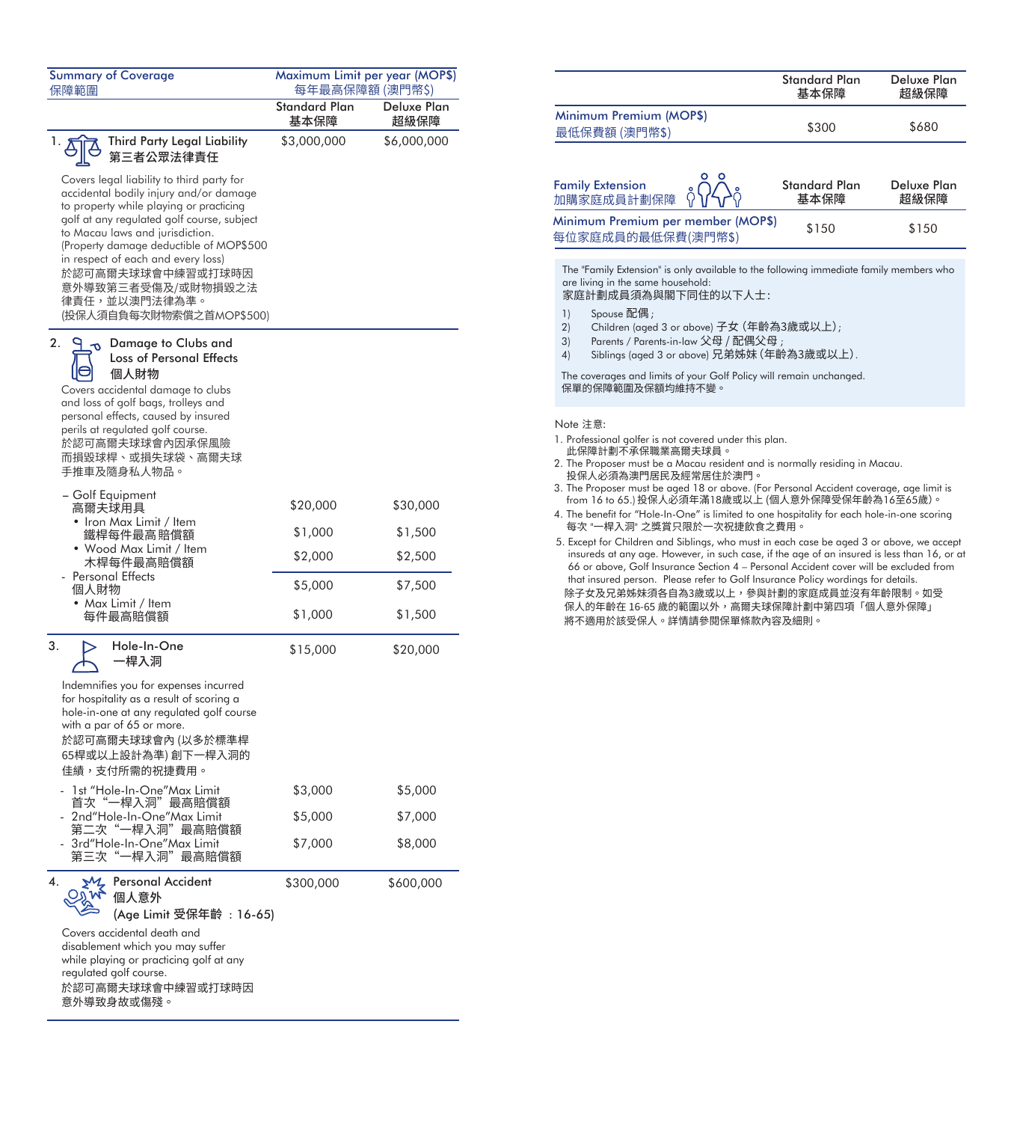| <b>Summary of Coverage</b><br>保障範圍                                                                                                                                                                                                                                                                                                                                                                                                   | 每年最高保障額 (澳門幣\$)              | Maximum Limit per year (MOP\$) |
|--------------------------------------------------------------------------------------------------------------------------------------------------------------------------------------------------------------------------------------------------------------------------------------------------------------------------------------------------------------------------------------------------------------------------------------|------------------------------|--------------------------------|
|                                                                                                                                                                                                                                                                                                                                                                                                                                      | <b>Standard Plan</b><br>基本保障 | Deluxe Plan<br>超級保障            |
| Third Party Legal Liability<br>第三者公眾法律責任<br>Covers legal liability to third party for<br>accidental bodily injury and/or damage<br>to property while playing or practicing<br>golf at any regulated golf course, subject<br>to Macau laws and jurisdiction.<br>(Property damage deductible of MOP\$500<br>in respect of each and every loss)<br>於認可高爾夫球球會中練習或打球時因<br>意外導致第三者受傷及/或財物損毀之法<br>律責任,並以澳門法律為準。<br>(投保人須自負每次財物索償之首MOP\$500) | \$3,000,000                  | \$6,000,000                    |
| 2.<br>Damage to Clubs and<br><b>Loss of Personal Effects</b><br>個人財物<br>Covers accidental damage to clubs<br>and loss of golf bags, trolleys and<br>personal effects, caused by insured<br>perils at regulated golf course.<br>於認可高爾夫球球會內因承保風險<br>而損毀球桿、或損失球袋、高爾夫球<br>手推車及隨身私人物品。                                                                                                                                                    |                              |                                |
| - Golf Equipment<br>高爾夫球用具<br>• Iron Max Limit / Item                                                                                                                                                                                                                                                                                                                                                                                | \$20,000                     | \$30,000                       |
| 鐵桿每件最高賠償額<br>• Wood Max Limit / Item                                                                                                                                                                                                                                                                                                                                                                                                 | \$1,000                      | \$1,500                        |
| 木桿每件最高賠償額<br>Personal Effects                                                                                                                                                                                                                                                                                                                                                                                                        | \$2,000                      | \$2,500                        |
| 個人財物<br>Max Limit / Item                                                                                                                                                                                                                                                                                                                                                                                                             | \$5,000                      | \$7,500                        |
| 每件最高賠償額                                                                                                                                                                                                                                                                                                                                                                                                                              | \$1,000                      | \$1,500                        |
| 3.<br>Hole-In-One<br>-桿入洞<br>Indemnifies you for expenses incurred<br>for hospitality as a result of scoring a<br>hole-in-one at any regulated golf course<br>with a par of 65 or more.<br>於認可高爾夫球球會內 (以多於標準桿<br>65桿或以上設計為準) 創下一桿入洞的<br>佳績,支付所需的祝捷費用。                                                                                                                                                                                | \$15,000                     | \$20,000                       |
| 1st "Hole-In-One"Max Limit<br>首次"一桿入洞"最高賠償額                                                                                                                                                                                                                                                                                                                                                                                          | \$3,000                      | \$5,000                        |
| 2nd"Hole-In-One"Max Limit<br>第二次"一桿入洞"最高賠償額                                                                                                                                                                                                                                                                                                                                                                                          | \$5,000                      | \$7,000                        |
| 3rd"Hole-In-One"Max Limit<br>第三次<br>−桿入洞"最高賠償額                                                                                                                                                                                                                                                                                                                                                                                       | \$7,000                      | \$8,000                        |
| 4.<br>Personal Accident<br>個人意外<br>(Age Limit 受保年齡 : 16-65)<br>Covers accidental death and<br>disablement which you may suffer<br>while playing or practicing golf at any<br>regulated golf course.<br>於認可高爾夫球球會中練習或打球時因<br>意外導致身故或傷殘。                                                                                                                                                                                               | \$300,000                    | \$600,000                      |

| 每年最高保障額 (澳門幣\$)     | aximum Limit per year (MOP\$) |                                                          | Standard Plan<br>基本保障 | Deluxe Plan<br>超級保障 |
|---------------------|-------------------------------|----------------------------------------------------------|-----------------------|---------------------|
| andard Plan<br>基本保障 | Deluxe Plan<br>超級保障           | Minimum Premium (MOP\$)                                  | \$300                 | \$680               |
| 3.000.000           | \$6,000,000                   | 最低保費額 (澳門幣\$)                                            |                       |                     |
|                     |                               | ο<br><b>Family Extension</b><br>加購家庭成員計劃保障               | Standard Plan<br>基本保障 | Deluxe Plan<br>超級保障 |
|                     |                               | Minimum Premium per member (MOP\$)<br>每位家庭成員的最低保費(澳門幣\$) | \$150                 | \$150               |
|                     |                               |                                                          |                       |                     |

The "Family Extension" is only available to the following immediate family members who are living in the same household:

#### 家庭計劃成員須為與閣下同住的以下人士 :

- 1) Spouse 配偶;<br>2) Children (gger
- 2) Children (aged 3 or above) 子女 (年齡為3歲或以上);<br>3) Parents / Parents-in-law 父母 / 配偶父母 :
- 3) Parents / Parents-in-law 父母 / 配偶父母 ;<br>4) Siblings (aged 3 or above) 兄弟姊妹 (年齡
- Siblings (aged 3 or above) 兄弟姊妹 (年齡為3歲或以上).

The coverages and limits of your Golf Policy will remain unchanged. 保單的保障範圍及保額均維持不變。

#### Note 注意:

- 1. Professional golfer is not covered under this plan. 此保障計劃不承保職業高爾夫球員。
- 2. The Proposer must be a Macau resident and is normally residing in Macau. 投保人必須為澳門居民及經常居住於澳門。
- 3. The Proposer must be aged 18 or above. (For Personal Accident coverage, age limit is from 16 to 65.)投保人必須年滿18歲或以上 (個人意外保障受保年齡為16至65歲)。
- 4. The benefit for "Hole-In-One" is limited to one hospitality for each hole-in-one scoring 每次 "一桿入洞" 之獎賞只限於一次祝捷飲食之費用。
- 5. Except for Children and Siblings, who must in each case be aged 3 or above, we accept insureds at any age. However, in such case, if the age of an insured is less than 16, or at 66 or above, Golf Insurance Section 4 – Personal Accident cover will be excluded from that insured person. Please refer to Golf Insurance Policy wordings for details. 除子女及兄弟姊妹須各自為3歲或以上,參與計劃的家庭成員並沒有年齡限制。如受 保人的年齡在 ��-�� 歲的範圍以外,高爾夫球保障計劃中第四項「個人意外保障」 將不適用於該受保人。詳情請參閱保單條款內容及細則。